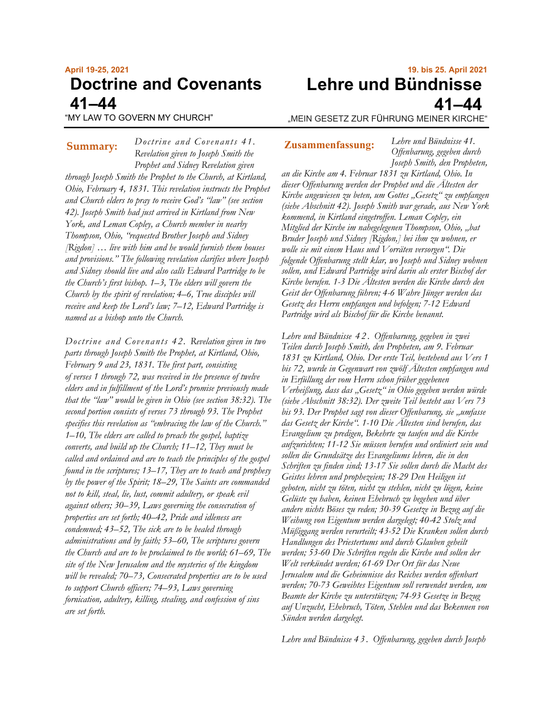# **April 19-25, 2021 Doctrine and Covenants 41–44**

"MY LAW TO GOVERN MY CHURCH"

*Doctrine and Covenants 41. Revelation given to Joseph Smith the Prophet and Sidney Revelation given through Joseph Smith the Prophet to the Church, at Kirtland, Ohio, February 4, 1831. This revelation instructs the Prophet and Church elders to pray to receive God's "law" (see section 42). Joseph Smith had just arrived in Kirtland from New York, and Leman Copley, a Church member in nearby Thompson, Ohio, "requested Brother Joseph and Sidney [Rigdon] … live with him and he would furnish them houses and provisions." The following revelation clarifies where Joseph and Sidney should live and also calls Edward Partridge to be the Church's first bishop. 1–3, The elders will govern the Church by the spirit of revelation; 4–6, True disciples will receive and keep the Lord's law; 7–12, Edward Partridge is named as a bishop unto the Church.* **Summary: Zusammenfassung:**

*Doctrine and Covenants 42. Revelation given in two parts through Joseph Smith the Prophet, at Kirtland, Ohio, February 9 and 23, 1831. The first part, consisting of verses 1 through 72, was received in the presence of twelve elders and in fulfillment of the Lord's promise previously made that the "law" would be given in Ohio (see section 38:32). The second portion consists of verses 73 through 93. The Prophet specifies this revelation as "embracing the law of the Church." 1–10, The elders are called to preach the gospel, baptize converts, and build up the Church; 11–12, They must be called and ordained and are to teach the principles of the gospel found in the scriptures; 13–17, They are to teach and prophesy by the power of the Spirit; 18–29, The Saints are commanded not to kill, steal, lie, lust, commit adultery, or speak evil against others; 30–39, Laws governing the consecration of properties are set forth; 40–42, Pride and idleness are condemned; 43–52, The sick are to be healed through administrations and by faith; 53–60, The scriptures govern the Church and are to be proclaimed to the world; 61–69, The site of the New Jerusalem and the mysteries of the kingdom will be revealed; 70–73, Consecrated properties are to be used to support Church officers; 74–93, Laws governing fornication, adultery, killing, stealing, and confession of sins are set forth.*

# **19. bis 25. April 2021 Lehre und Bündnisse 41–44**

"MEIN GESETZ ZUR FÜHRUNG MEINER KIRCHE"

*Lehre und Bündnisse 41. Offenbarung, gegeben durch Joseph Smith, den Propheten,* 

*an die Kirche am 4. Februar 1831 zu Kirtland, Ohio. In dieser Offenbarung werden der Prophet und die Ältesten der Kirche angewiesen zu beten, um Gottes "Gesetz" zu empfangen (siehe Abschnitt 42). Joseph Smith war gerade, aus New York kommend, in Kirtland eingetroffen. Leman Copley, ein Mitglied der Kirche im nahegelegenen Thompson, Ohio, "bat Bruder Joseph und Sidney [Rigdon,] bei ihm zu wohnen, er wolle sie mit einem Haus und Vorräten versorgen". Die folgende Offenbarung stellt klar, wo Joseph und Sidney wohnen sollen, und Edward Partridge wird darin als erster Bischof der Kirche berufen. 1-3 Die Ältesten werden die Kirche durch den Geist der Offenbarung führen; 4-6 Wahre Jünger werden das Gesetz des Herrn empfangen und befolgen; 7-12 Edward Partridge wird als Bischof für die Kirche benannt.*

*Lehre und Bündnisse 4 2* . *Offenbarung, gegeben in zwei Teilen durch Joseph Smith, den Propheten, am 9. Februar 1831 zu Kirtland, Ohio. Der erste Teil, bestehend aus Vers 1 bis 72, wurde in Gegenwart von zwölf Ältesten empfangen und in Erfüllung der vom Herrn schon früher gegebenen Verheißung, dass das "Gesetz" in Ohio gegeben werden würde (siehe Abschnitt 38:32). Der zweite Teil besteht aus Vers 73* bis 93. Der Prophet sagt von dieser Offenbarung, sie "umfasse *das Gesetz der Kirche". 1-10 Die Ältesten sind berufen, das Evangelium zu predigen, Bekehrte zu taufen und die Kirche aufzurichten; 11-12 Sie müssen berufen und ordiniert sein und sollen die Grundsätze des Evangeliums lehren, die in den Schriften zu finden sind; 13-17 Sie sollen durch die Macht des Geistes lehren und prophezeien; 18-29 Den Heiligen ist geboten, nicht zu töten, nicht zu stehlen, nicht zu lügen, keine Gelüste zu haben, keinen Ehebruch zu begehen und über andere nichts Böses zu reden; 30-39 Gesetze in Bezug auf die Weihung von Eigentum werden dargelegt; 40-42 Stolz und Müßiggang werden verurteilt; 43-52 Die Kranken sollen durch Handlungen des Priestertums und durch Glauben geheilt werden; 53-60 Die Schriften regeln die Kirche und sollen der Welt verkündet werden; 61-69 Der Ort für das Neue Jerusalem und die Geheimnisse des Reiches werden offenbart werden; 70-73 Geweihtes Eigentum soll verwendet werden, um Beamte der Kirche zu unterstützen; 74-93 Gesetze in Bezug auf Unzucht, Ehebruch, Töten, Stehlen und das Bekennen von Sünden werden dargelegt.*

*Lehre und Bündnisse 4 3* . *Offenbarung, gegeben durch Joseph*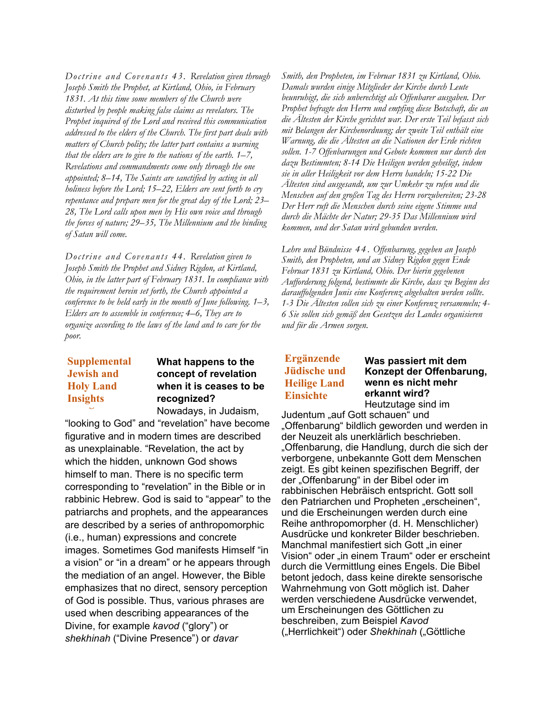*Doctrine and Covenants 43. Revelation given through Joseph Smith the Prophet, at Kirtland, Ohio, in February 1831. At this time some members of the Church were disturbed by people making false claims as revelators. The Prophet inquired of the Lord and received this communication addressed to the elders of the Church. The first part deals with matters of Church polity; the latter part contains a warning that the elders are to give to the nations of the earth. 1–7, Revelations and commandments come only through the one appointed; 8–14, The Saints are sanctified by acting in all holiness before the Lord; 15–22, Elders are sent forth to cry repentance and prepare men for the great day of the Lord; 23– 28, The Lord calls upon men by His own voice and through the forces of nature; 29–35, The Millennium and the binding of Satan will come.*

*Doctrine and Covenants 44. Revelation given to Joseph Smith the Prophet and Sidney Rigdon, at Kirtland, Ohio, in the latter part of February 1831. In compliance with the requirement herein set forth, the Church appointed a conference to be held early in the month of June following. 1–3, Elders are to assemble in conference; 4–6, They are to organize according to the laws of the land and to care for the poor.*

# **Supplemental Supplemental Jewish and Jewish and Holy Land Holy Land Insights Insights**

# **What happens to the concept of revelation when it is ceases to be recognized?**

Nowadays, in Judaism,

"looking to God" and "revelation" have become figurative and in modern times are described as unexplainable. "Revelation, the act by which the hidden, unknown God shows himself to man. There is no specific term corresponding to "revelation" in the Bible or in rabbinic Hebrew. God is said to "appear" to the patriarchs and prophets, and the appearances are described by a series of anthropomorphic (i.e., human) expressions and concrete images. Sometimes God manifests Himself "in a vision" or "in a dream" or he appears through the mediation of an angel. However, the Bible emphasizes that no direct, sensory perception of God is possible. Thus, various phrases are used when describing appearances of the Divine, for example *kavod* ("glory") or *shekhinah* ("Divine Presence") or *davar* 

*Smith, den Propheten, im Februar 1831 zu Kirtland, Ohio. Damals wurden einige Mitglieder der Kirche durch Leute beunruhigt, die sich unberechtigt als Offenbarer ausgaben. Der Prophet befragte den Herrn und empfing diese Botschaft, die an die Ältesten der Kirche gerichtet war. Der erste Teil befasst sich mit Belangen der Kirchenordnung; der zweite Teil enthält eine Warnung, die die Ältesten an die Nationen der Erde richten sollen. 1-7 Offenbarungen und Gebote kommen nur durch den dazu Bestimmten; 8-14 Die Heiligen werden geheiligt, indem sie in aller Heiligkeit vor dem Herrn handeln; 15-22 Die Ältesten sind ausgesandt, um zur Umkehr zu rufen und die Menschen auf den großen Tag des Herrn vorzubereiten; 23-28 Der Herr ruft die Menschen durch seine eigene Stimme und durch die Mächte der Natur; 29-35 Das Millennium wird kommen, und der Satan wird gebunden werden.*

*Lehre und Bündnisse 4 4* . *Offenbarung, gegeben an Joseph Smith, den Propheten, und an Sidney Rigdon gegen Ende Februar 1831 zu Kirtland, Ohio. Der hierin gegebenen Aufforderung folgend, bestimmte die Kirche, dass zu Beginn des darauffolgenden Junis eine Konferenz abgehalten werden sollte. 1-3 Die Ältesten sollen sich zu einer Konferenz versammeln; 4- 6 Sie sollen sich gemäß den Gesetzen des Landes organisieren und für die Armen sorgen.*

# **Ergänzende Jüdische und Heilige Land Einsichte**

#### **Was passiert mit dem Konzept der Offenbarung, wenn es nicht mehr erkannt wird?** Heutzutage sind im

Judentum "auf Gott schauen" und "Offenbarung" bildlich geworden und werden in der Neuzeit als unerklärlich beschrieben. "Offenbarung, die Handlung, durch die sich der verborgene, unbekannte Gott dem Menschen zeigt. Es gibt keinen spezifischen Begriff, der der "Offenbarung" in der Bibel oder im rabbinischen Hebräisch entspricht. Gott soll den Patriarchen und Propheten "erscheinen", und die Erscheinungen werden durch eine Reihe anthropomorpher (d. H. Menschlicher) Ausdrücke und konkreter Bilder beschrieben. Manchmal manifestiert sich Gott "in einer Vision" oder "in einem Traum" oder er erscheint durch die Vermittlung eines Engels. Die Bibel betont jedoch, dass keine direkte sensorische Wahrnehmung von Gott möglich ist. Daher werden verschiedene Ausdrücke verwendet, um Erscheinungen des Göttlichen zu beschreiben, zum Beispiel *Kavod* ("Herrlichkeit") oder *Shekhinah* ("Göttliche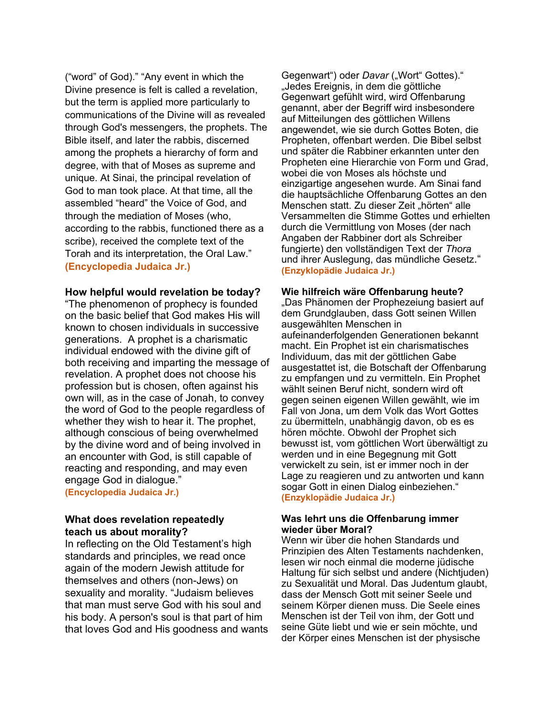("word" of God)." "Any event in which the Divine presence is felt is called a revelation, but the term is applied more particularly to communications of the Divine will as revealed through God's messengers, the prophets. The Bible itself, and later the rabbis, discerned among the prophets a hierarchy of form and degree, with that of Moses as supreme and unique. At Sinai, the principal revelation of God to man took place. At that time, all the assembled "heard" the Voice of God, and through the mediation of Moses (who, according to the rabbis, functioned there as a scribe), received the complete text of the Torah and its interpretation, the Oral Law." **(Encyclopedia Judaica Jr.)**

#### **How helpful would revelation be today?**

"The phenomenon of prophecy is founded on the basic belief that God makes His will known to chosen individuals in successive generations. A prophet is a charismatic individual endowed with the divine gift of both receiving and imparting the message of revelation. A prophet does not choose his profession but is chosen, often against his own will, as in the case of Jonah, to convey the word of God to the people regardless of whether they wish to hear it. The prophet, although conscious of being overwhelmed by the divine word and of being involved in an encounter with God, is still capable of reacting and responding, and may even engage God in dialogue."

**(Encyclopedia Judaica Jr.)**

### **What does revelation repeatedly teach us about morality?**

In reflecting on the Old Testament's high standards and principles, we read once again of the modern Jewish attitude for themselves and others (non-Jews) on sexuality and morality. "Judaism believes that man must serve God with his soul and his body. A person's soul is that part of him that loves God and His goodness and wants

Gegenwart") oder *Davar* ("Wort" Gottes)." "Jedes Ereignis, in dem die göttliche Gegenwart gefühlt wird, wird Offenbarung genannt, aber der Begriff wird insbesondere auf Mitteilungen des göttlichen Willens angewendet, wie sie durch Gottes Boten, die Propheten, offenbart werden. Die Bibel selbst und später die Rabbiner erkannten unter den Propheten eine Hierarchie von Form und Grad, wobei die von Moses als höchste und einzigartige angesehen wurde. Am Sinai fand die hauptsächliche Offenbarung Gottes an den Menschen statt. Zu dieser Zeit "hörten" alle Versammelten die Stimme Gottes und erhielten durch die Vermittlung von Moses (der nach Angaben der Rabbiner dort als Schreiber fungierte) den vollständigen Text der *Thora* und ihrer Auslegung, das mündliche Gesetz." **(Enzyklopädie Judaica Jr.)**

#### **Wie hilfreich wäre Offenbarung heute?**

"Das Phänomen der Prophezeiung basiert auf dem Grundglauben, dass Gott seinen Willen ausgewählten Menschen in aufeinanderfolgenden Generationen bekannt macht. Ein Prophet ist ein charismatisches Individuum, das mit der göttlichen Gabe ausgestattet ist, die Botschaft der Offenbarung zu empfangen und zu vermitteln. Ein Prophet wählt seinen Beruf nicht, sondern wird oft gegen seinen eigenen Willen gewählt, wie im Fall von Jona, um dem Volk das Wort Gottes zu übermitteln, unabhängig davon, ob es es hören möchte. Obwohl der Prophet sich bewusst ist, vom göttlichen Wort überwältigt zu werden und in eine Begegnung mit Gott verwickelt zu sein, ist er immer noch in der Lage zu reagieren und zu antworten und kann sogar Gott in einen Dialog einbeziehen." **(Enzyklopädie Judaica Jr.)**

#### **Was lehrt uns die Offenbarung immer wieder über Moral?**

Wenn wir über die hohen Standards und Prinzipien des Alten Testaments nachdenken, lesen wir noch einmal die moderne jüdische Haltung für sich selbst und andere (Nichtjuden) zu Sexualität und Moral. Das Judentum glaubt, dass der Mensch Gott mit seiner Seele und seinem Körper dienen muss. Die Seele eines Menschen ist der Teil von ihm, der Gott und seine Güte liebt und wie er sein möchte, und der Körper eines Menschen ist der physische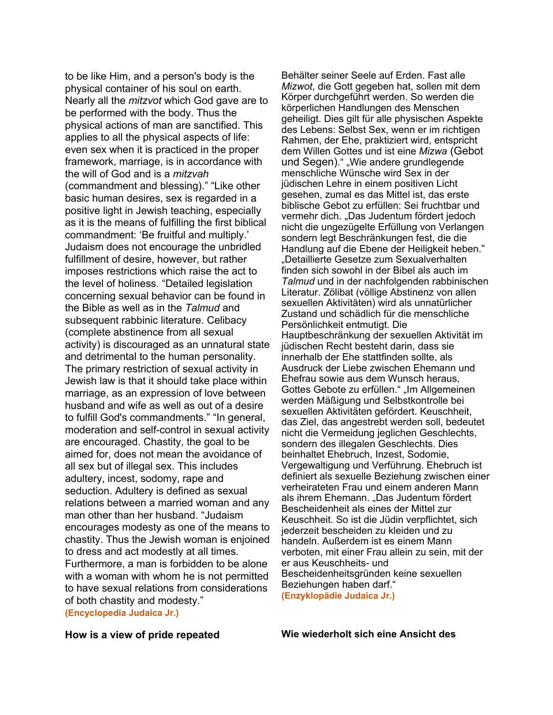to be like Him, and a person's body is the physical container of his soul on earth. Nearly all the *mitzvot* which God gave are to be performed with the body. Thus the physical actions of man are sanctified. This applies to all the physical aspects of life: even sex when it is practiced in the proper framework, marriage, is in accordance with the will of God and is a *mitzvah* (commandment and blessing)." "Like other basic human desires, sex is regarded in a positive light in Jewish teaching, especially as it is the means of fulfilling the first biblical commandment: 'Be fruitful and multiply.' Judaism does not encourage the unbridled fulfillment of desire, however, but rather imposes restrictions which raise the act to the level of holiness. "Detailed legislation concerning sexual behavior can be found in the Bible as well as in the *Talmud* and subsequent rabbinic literature. Celibacy (complete abstinence from all sexual activity) is discouraged as an unnatural state and detrimental to the human personality. The primary restriction of sexual activity in Jewish law is that it should take place within marriage, as an expression of love between husband and wife as well as out of a desire to fulfill God's commandments." "In general, moderation and self-control in sexual activity are encouraged. Chastity, the goal to be aimed for, does not mean the avoidance of all sex but of illegal sex. This includes adultery, incest, sodomy, rape and seduction. Adultery is defined as sexual relations between a married woman and any man other than her husband. "Judaism encourages modesty as one of the means to chastity. Thus the Jewish woman is enjoined to dress and act modestly at all times. Furthermore, a man is forbidden to be alone with a woman with whom he is not permitted to have sexual relations from considerations of both chastity and modesty." **(Encyclopedia Judaica Jr.)**

Behälter seiner Seele auf Erden. Fast alle *Mizwot*, die Gott gegeben hat, sollen mit dem Körper durchgeführt werden. So werden die körperlichen Handlungen des Menschen geheiligt. Dies gilt für alle physischen Aspekte des Lebens: Selbst Sex, wenn er im richtigen Rahmen, der Ehe, praktiziert wird, entspricht dem Willen Gottes und ist eine *Mizwa* (Gebot und Segen)." "Wie andere grundlegende menschliche Wünsche wird Sex in der jüdischen Lehre in einem positiven Licht gesehen, zumal es das Mittel ist, das erste biblische Gebot zu erfüllen: Sei fruchtbar und vermehr dich. "Das Judentum fördert jedoch nicht die ungezügelte Erfüllung von Verlangen sondern legt Beschränkungen fest, die die Handlung auf die Ebene der Heiligkeit heben." "Detaillierte Gesetze zum Sexualverhalten finden sich sowohl in der Bibel als auch im *Talmud* und in der nachfolgenden rabbinischen Literatur. Zölibat (völlige Abstinenz von allen sexuellen Aktivitäten) wird als unnatürlicher Zustand und schädlich für die menschliche Persönlichkeit entmutigt. Die Hauptbeschränkung der sexuellen Aktivität im jüdischen Recht besteht darin, dass sie innerhalb der Ehe stattfinden sollte, als Ausdruck der Liebe zwischen Ehemann und Ehefrau sowie aus dem Wunsch heraus, Gottes Gebote zu erfüllen." "Im Allgemeinen werden Mäßigung und Selbstkontrolle bei sexuellen Aktivitäten gefördert. Keuschheit, das Ziel, das angestrebt werden soll, bedeutet nicht die Vermeidung jeglichen Geschlechts, sondern des illegalen Geschlechts. Dies beinhaltet Ehebruch, Inzest, Sodomie, Vergewaltigung und Verführung. Ehebruch ist definiert als sexuelle Beziehung zwischen einer verheirateten Frau und einem anderen Mann als ihrem Ehemann. "Das Judentum fördert Bescheidenheit als eines der Mittel zur Keuschheit. So ist die Jüdin verpflichtet, sich jederzeit bescheiden zu kleiden und zu handeln. Außerdem ist es einem Mann verboten, mit einer Frau allein zu sein, mit der er aus Keuschheits- und Bescheidenheitsgründen keine sexuellen Beziehungen haben darf." **(Enzyklopädie Judaica Jr.)**

**How is a view of pride repeated Wie wiederholt sich eine Ansicht des**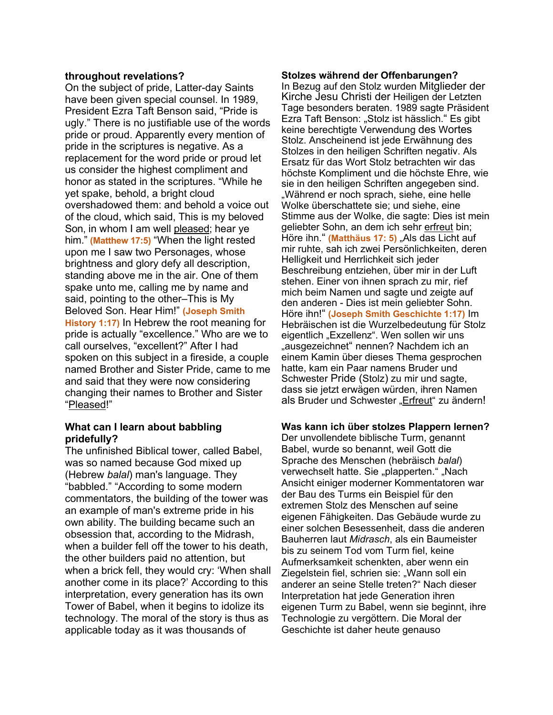#### **throughout revelations?**

On the subject of pride, Latter-day Saints have been given special counsel. In 1989, President Ezra Taft Benson said, "Pride is ugly." There is no justifiable use of the words pride or proud. Apparently every mention of pride in the scriptures is negative. As a replacement for the word pride or proud let us consider the highest compliment and honor as stated in the scriptures. "While he yet spake, behold, a bright cloud overshadowed them: and behold a voice out of the cloud, which said, This is my beloved Son, in whom I am well pleased; hear ye him." **(Matthew 17:5)** "When the light rested upon me I saw two Personages, whose brightness and glory defy all description, standing above me in the air. One of them spake unto me, calling me by name and said, pointing to the other–This is My Beloved Son. Hear Him!" **(Joseph Smith History 1:17)** In Hebrew the root meaning for pride is actually "excellence." Who are we to call ourselves, "excellent?" After I had spoken on this subject in a fireside, a couple named Brother and Sister Pride, came to me and said that they were now considering changing their names to Brother and Sister "Pleased!"

### **What can I learn about babbling pridefully?**

The unfinished Biblical tower, called Babel, was so named because God mixed up (Hebrew *balal*) man's language. They "babbled." "According to some modern commentators, the building of the tower was an example of man's extreme pride in his own ability. The building became such an obsession that, according to the Midrash, when a builder fell off the tower to his death, the other builders paid no attention, but when a brick fell, they would cry: 'When shall another come in its place?' According to this interpretation, every generation has its own Tower of Babel, when it begins to idolize its technology. The moral of the story is thus as applicable today as it was thousands of

#### **Stolzes während der Offenbarungen?**

In Bezug auf den Stolz wurden Mitglieder der Kirche Jesu Christi der Heiligen der Letzten Tage besonders beraten. 1989 sagte Präsident Ezra Taft Benson: "Stolz ist hässlich." Es gibt keine berechtigte Verwendung des Wortes Stolz. Anscheinend ist jede Erwähnung des Stolzes in den heiligen Schriften negativ. Als Ersatz für das Wort Stolz betrachten wir das höchste Kompliment und die höchste Ehre, wie sie in den heiligen Schriften angegeben sind. "Während er noch sprach, siehe, eine helle Wolke überschattete sie; und siehe, eine Stimme aus der Wolke, die sagte: Dies ist mein geliebter Sohn, an dem ich sehr erfreut bin; Höre ihn." (Matthäus 17: 5) "Als das Licht auf mir ruhte, sah ich zwei Persönlichkeiten, deren Helligkeit und Herrlichkeit sich jeder Beschreibung entziehen, über mir in der Luft stehen. Einer von ihnen sprach zu mir, rief mich beim Namen und sagte und zeigte auf den anderen - Dies ist mein geliebter Sohn. Höre ihn!" **(Joseph Smith Geschichte 1:17)** Im Hebräischen ist die Wurzelbedeutung für Stolz eigentlich "Exzellenz". Wen sollen wir uns "ausgezeichnet" nennen? Nachdem ich an einem Kamin über dieses Thema gesprochen hatte, kam ein Paar namens Bruder und Schwester Pride (Stolz) zu mir und sagte, dass sie jetzt erwägen würden, ihren Namen als Bruder und Schwester "Erfreut" zu ändern!

#### **Was kann ich über stolzes Plappern lernen?**

Der unvollendete biblische Turm, genannt Babel, wurde so benannt, weil Gott die Sprache des Menschen (hebräisch *balal*) verwechselt hatte. Sie "plapperten." "Nach Ansicht einiger moderner Kommentatoren war der Bau des Turms ein Beispiel für den extremen Stolz des Menschen auf seine eigenen Fähigkeiten. Das Gebäude wurde zu einer solchen Besessenheit, dass die anderen Bauherren laut *Midrasch*, als ein Baumeister bis zu seinem Tod vom Turm fiel, keine Aufmerksamkeit schenkten, aber wenn ein Ziegelstein fiel, schrien sie: "Wann soll ein anderer an seine Stelle treten?" Nach dieser Interpretation hat jede Generation ihren eigenen Turm zu Babel, wenn sie beginnt, ihre Technologie zu vergöttern. Die Moral der Geschichte ist daher heute genauso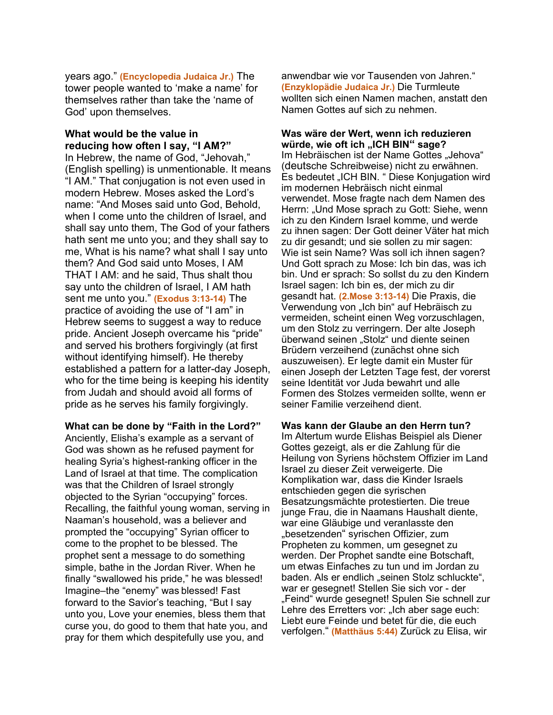years ago." **(Encyclopedia Judaica Jr.)** The tower people wanted to 'make a name' for themselves rather than take the 'name of God' upon themselves.

#### **What would be the value in reducing how often I say, "I AM?"**

In Hebrew, the name of God, "Jehovah," (English spelling) is unmentionable. It means "I AM." That conjugation is not even used in modern Hebrew. Moses asked the Lord's name: "And Moses said unto God, Behold, when I come unto the children of Israel, and shall say unto them, The God of your fathers hath sent me unto you; and they shall say to me, What is his name? what shall I say unto them? And God said unto Moses, I AM THAT I AM: and he said, Thus shalt thou say unto the children of Israel, I AM hath sent me unto you." **(Exodus 3:13-14)** The practice of avoiding the use of "I am" in Hebrew seems to suggest a way to reduce pride. Ancient Joseph overcame his "pride" and served his brothers forgivingly (at first without identifying himself). He thereby established a pattern for a latter-day Joseph, who for the time being is keeping his identity from Judah and should avoid all forms of pride as he serves his family forgivingly.

**What can be done by "Faith in the Lord?"**

Anciently, Elisha's example as a servant of God was shown as he refused payment for healing Syria's highest-ranking officer in the Land of Israel at that time. The complication was that the Children of Israel strongly objected to the Syrian "occupying" forces. Recalling, the faithful young woman, serving in Naaman's household, was a believer and prompted the "occupying" Syrian officer to come to the prophet to be blessed. The prophet sent a message to do something simple, bathe in the Jordan River. When he finally "swallowed his pride," he was blessed! Imagine–the "enemy" was blessed! Fast forward to the Savior's teaching, "But I say unto you, Love your enemies, bless them that curse you, do good to them that hate you, and pray for them which despitefully use you, and

anwendbar wie vor Tausenden von Jahren." **(Enzyklopädie Judaica Jr.)** Die Turmleute wollten sich einen Namen machen, anstatt den Namen Gottes auf sich zu nehmen.

#### **Was wäre der Wert, wenn ich reduzieren**  würde, wie oft ich "ICH BIN" sage?

Im Hebräischen ist der Name Gottes "Jehova" (deutsche Schreibweise) nicht zu erwähnen. Es bedeutet "ICH BIN. " Diese Konjugation wird im modernen Hebräisch nicht einmal verwendet. Mose fragte nach dem Namen des Herrn: "Und Mose sprach zu Gott: Siehe, wenn ich zu den Kindern Israel komme, und werde zu ihnen sagen: Der Gott deiner Väter hat mich zu dir gesandt; und sie sollen zu mir sagen: Wie ist sein Name? Was soll ich ihnen sagen? Und Gott sprach zu Mose: Ich bin das, was ich bin. Und er sprach: So sollst du zu den Kindern Israel sagen: Ich bin es, der mich zu dir gesandt hat. **(2.Mose 3:13-14)** Die Praxis, die Verwendung von "Ich bin" auf Hebräisch zu vermeiden, scheint einen Weg vorzuschlagen, um den Stolz zu verringern. Der alte Joseph überwand seinen "Stolz" und diente seinen Brüdern verzeihend (zunächst ohne sich auszuweisen). Er legte damit ein Muster für einen Joseph der Letzten Tage fest, der vorerst seine Identität vor Juda bewahrt und alle Formen des Stolzes vermeiden sollte, wenn er seiner Familie verzeihend dient.

**Was kann der Glaube an den Herrn tun?** Im Altertum wurde Elishas Beispiel als Diener Gottes gezeigt, als er die Zahlung für die Heilung von Syriens höchstem Offizier im Land Israel zu dieser Zeit verweigerte. Die Komplikation war, dass die Kinder Israels entschieden gegen die syrischen Besatzungsmächte protestierten. Die treue junge Frau, die in Naamans Haushalt diente, war eine Gläubige und veranlasste den "besetzenden" syrischen Offizier, zum Propheten zu kommen, um gesegnet zu werden. Der Prophet sandte eine Botschaft, um etwas Einfaches zu tun und im Jordan zu baden. Als er endlich "seinen Stolz schluckte", war er gesegnet! Stellen Sie sich vor - der "Feind" wurde gesegnet! Spulen Sie schnell zur Lehre des Erretters vor: "Ich aber sage euch: Liebt eure Feinde und betet für die, die euch verfolgen." **(Matthäus 5:44)** Zurück zu Elisa, wir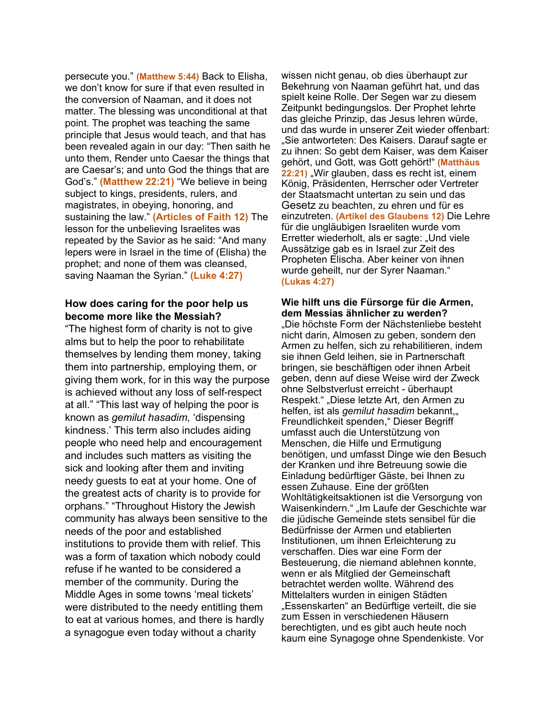persecute you." **(Matthew 5:44)** Back to Elisha, we don't know for sure if that even resulted in the conversion of Naaman, and it does not matter. The blessing was unconditional at that point. The prophet was teaching the same principle that Jesus would teach, and that has been revealed again in our day: "Then saith he unto them, Render unto Caesar the things that are Caesar's; and unto God the things that are God's." **(Matthew 22:21)** "We believe in being subject to kings, presidents, rulers, and magistrates, in obeying, honoring, and sustaining the law." **(Articles of Faith 12)** The lesson for the unbelieving Israelites was repeated by the Savior as he said: "And many lepers were in Israel in the time of (Elisha) the prophet; and none of them was cleansed, saving Naaman the Syrian." **(Luke 4:27)**

## **How does caring for the poor help us become more like the Messiah?**

"The highest form of charity is not to give alms but to help the poor to rehabilitate themselves by lending them money, taking them into partnership, employing them, or giving them work, for in this way the purpose is achieved without any loss of self-respect at all." "This last way of helping the poor is known as *gemilut hasadim,* 'dispensing kindness.' This term also includes aiding people who need help and encouragement and includes such matters as visiting the sick and looking after them and inviting needy guests to eat at your home. One of the greatest acts of charity is to provide for orphans." "Throughout History the Jewish community has always been sensitive to the needs of the poor and established institutions to provide them with relief. This was a form of taxation which nobody could refuse if he wanted to be considered a member of the community. During the Middle Ages in some towns 'meal tickets' were distributed to the needy entitling them to eat at various homes, and there is hardly a synagogue even today without a charity

wissen nicht genau, ob dies überhaupt zur Bekehrung von Naaman geführt hat, und das spielt keine Rolle. Der Segen war zu diesem Zeitpunkt bedingungslos. Der Prophet lehrte das gleiche Prinzip, das Jesus lehren würde, und das wurde in unserer Zeit wieder offenbart: "Sie antworteten: Des Kaisers. Darauf sagte er zu ihnen: So gebt dem Kaiser, was dem Kaiser gehört, und Gott, was Gott gehört!" **(Matthäus 22:21)** "Wir glauben, dass es recht ist, einem König, Präsidenten, Herrscher oder Vertreter der Staatsmacht untertan zu sein und das Gesetz zu beachten, zu ehren und für es einzutreten. **(Artikel des Glaubens 12)** Die Lehre für die ungläubigen Israeliten wurde vom Erretter wiederholt, als er sagte: "Und viele Aussätzige gab es in Israel zur Zeit des Propheten Elischa. Aber keiner von ihnen wurde geheilt, nur der Syrer Naaman." **(Lukas 4:27)**

## **Wie hilft uns die Fürsorge für die Armen, dem Messias ähnlicher zu werden?**

"Die höchste Form der Nächstenliebe besteht nicht darin, Almosen zu geben, sondern den Armen zu helfen, sich zu rehabilitieren, indem sie ihnen Geld leihen, sie in Partnerschaft bringen, sie beschäftigen oder ihnen Arbeit geben, denn auf diese Weise wird der Zweck ohne Selbstverlust erreicht - überhaupt Respekt." "Diese letzte Art, den Armen zu helfen, ist als *gemilut hasadim* bekannt, Freundlichkeit spenden," Dieser Begriff umfasst auch die Unterstützung von Menschen, die Hilfe und Ermutigung benötigen, und umfasst Dinge wie den Besuch der Kranken und ihre Betreuung sowie die Einladung bedürftiger Gäste, bei Ihnen zu essen Zuhause. Eine der größten Wohltätigkeitsaktionen ist die Versorgung von Waisenkindern." "Im Laufe der Geschichte war die jüdische Gemeinde stets sensibel für die Bedürfnisse der Armen und etablierten Institutionen, um ihnen Erleichterung zu verschaffen. Dies war eine Form der Besteuerung, die niemand ablehnen konnte, wenn er als Mitglied der Gemeinschaft betrachtet werden wollte. Während des Mittelalters wurden in einigen Städten "Essenskarten" an Bedürftige verteilt, die sie zum Essen in verschiedenen Häusern berechtigten, und es gibt auch heute noch kaum eine Synagoge ohne Spendenkiste. Vor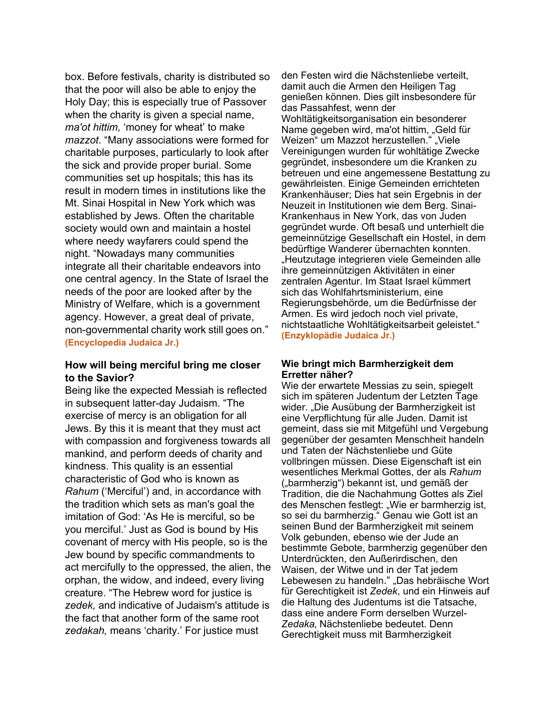box. Before festivals, charity is distributed so that the poor will also be able to enjoy the Holy Day; this is especially true of Passover when the charity is given a special name, *ma'ot hittim,* 'money for wheat' to make *mazzot*. "Many associations were formed for charitable purposes, particularly to look after the sick and provide proper burial. Some communities set up hospitals; this has its result in modern times in institutions like the Mt. Sinai Hospital in New York which was established by Jews. Often the charitable society would own and maintain a hostel where needy wayfarers could spend the night. "Nowadays many communities integrate all their charitable endeavors into one central agency. In the State of Israel the needs of the poor are looked after by the Ministry of Welfare, which is a government agency. However, a great deal of private, non-governmental charity work still goes on." **(Encyclopedia Judaica Jr.)**

### **How will being merciful bring me closer to the Savior?**

Being like the expected Messiah is reflected in subsequent latter-day Judaism. "The exercise of mercy is an obligation for all Jews. By this it is meant that they must act with compassion and forgiveness towards all mankind, and perform deeds of charity and kindness. This quality is an essential characteristic of God who is known as *Rahum* ('Merciful') and, in accordance with the tradition which sets as man's goal the imitation of God: 'As He is merciful, so be you merciful.' Just as God is bound by His covenant of mercy with His people, so is the Jew bound by specific commandments to act mercifully to the oppressed, the alien, the orphan, the widow, and indeed, every living creature. "The Hebrew word for justice is *zedek,* and indicative of Judaism's attitude is the fact that another form of the same root *zedakah,* means 'charity.' For justice must

den Festen wird die Nächstenliebe verteilt, damit auch die Armen den Heiligen Tag genießen können. Dies gilt insbesondere für das Passahfest, wenn der Wohltätigkeitsorganisation ein besonderer Name gegeben wird, ma'ot hittim, "Geld für Weizen" um Mazzot herzustellen." "Viele Vereinigungen wurden für wohltätige Zwecke gegründet, insbesondere um die Kranken zu betreuen und eine angemessene Bestattung zu gewährleisten. Einige Gemeinden errichteten Krankenhäuser; Dies hat sein Ergebnis in der Neuzeit in Institutionen wie dem Berg. Sinai-Krankenhaus in New York, das von Juden gegründet wurde. Oft besaß und unterhielt die gemeinnützige Gesellschaft ein Hostel, in dem bedürftige Wanderer übernachten konnten. "Heutzutage integrieren viele Gemeinden alle ihre gemeinnützigen Aktivitäten in einer zentralen Agentur. Im Staat Israel kümmert sich das Wohlfahrtsministerium, eine Regierungsbehörde, um die Bedürfnisse der Armen. Es wird jedoch noch viel private, nichtstaatliche Wohltätigkeitsarbeit geleistet." **(Enzyklopädie Judaica Jr.)**

#### **Wie bringt mich Barmherzigkeit dem Erretter näher?**

Wie der erwartete Messias zu sein, spiegelt sich im späteren Judentum der Letzten Tage wider. "Die Ausübung der Barmherzigkeit ist eine Verpflichtung für alle Juden. Damit ist gemeint, dass sie mit Mitgefühl und Vergebung gegenüber der gesamten Menschheit handeln und Taten der Nächstenliebe und Güte vollbringen müssen. Diese Eigenschaft ist ein wesentliches Merkmal Gottes, der als *Rahum* ("barmherzig") bekannt ist, und gemäß der Tradition, die die Nachahmung Gottes als Ziel des Menschen festlegt: "Wie er barmherzig ist, so sei du barmherzig." Genau wie Gott ist an seinen Bund der Barmherzigkeit mit seinem Volk gebunden, ebenso wie der Jude an bestimmte Gebote, barmherzig gegenüber den Unterdrückten, den Außerirdischen, den Waisen, der Witwe und in der Tat jedem Lebewesen zu handeln." "Das hebräische Wort für Gerechtigkeit ist *Zedek*, und ein Hinweis auf die Haltung des Judentums ist die Tatsache, dass eine andere Form derselben Wurzel-*Zedaka*' Nächstenliebe bedeutet. Denn Gerechtigkeit muss mit Barmherzigkeit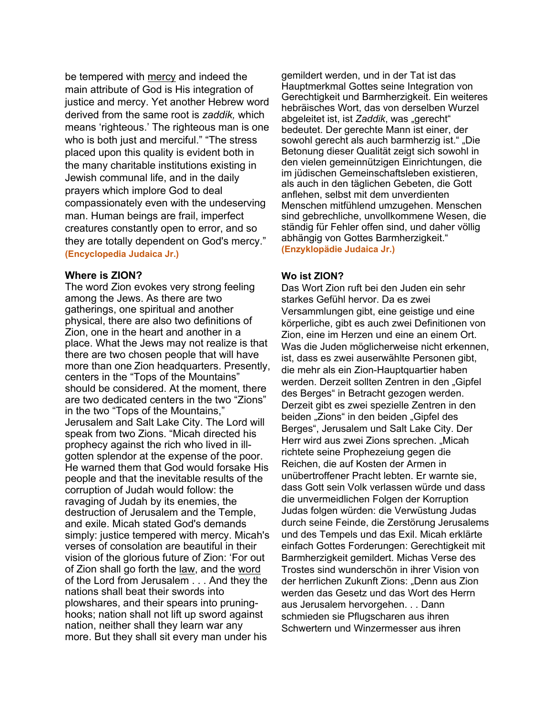be tempered with mercy and indeed the main attribute of God is His integration of justice and mercy. Yet another Hebrew word derived from the same root is *zaddik,* which means 'righteous.' The righteous man is one who is both just and merciful." "The stress placed upon this quality is evident both in the many charitable institutions existing in Jewish communal life, and in the daily prayers which implore God to deal compassionately even with the undeserving man. Human beings are frail, imperfect creatures constantly open to error, and so they are totally dependent on God's mercy." **(Encyclopedia Judaica Jr.)**

#### **Where is ZION?**

The word Zion evokes very strong feeling among the Jews. As there are two gatherings, one spiritual and another physical, there are also two definitions of Zion, one in the heart and another in a place. What the Jews may not realize is that there are two chosen people that will have more than one Zion headquarters. Presently, centers in the "Tops of the Mountains" should be considered. At the moment, there are two dedicated centers in the two "Zions" in the two "Tops of the Mountains," Jerusalem and Salt Lake City. The Lord will speak from two Zions. "Micah directed his prophecy against the rich who lived in illgotten splendor at the expense of the poor. He warned them that God would forsake His people and that the inevitable results of the corruption of Judah would follow: the ravaging of Judah by its enemies, the destruction of Jerusalem and the Temple, and exile. Micah stated God's demands simply: justice tempered with mercy. Micah's verses of consolation are beautiful in their vision of the glorious future of Zion: 'For out of Zion shall go forth the law, and the word of the Lord from Jerusalem . . . And they the nations shall beat their swords into plowshares, and their spears into pruninghooks; nation shall not lift up sword against nation, neither shall they learn war any more. But they shall sit every man under his

gemildert werden, und in der Tat ist das Hauptmerkmal Gottes seine Integration von Gerechtigkeit und Barmherzigkeit. Ein weiteres hebräisches Wort, das von derselben Wurzel abgeleitet ist, ist Zaddik, was "gerecht" bedeutet. Der gerechte Mann ist einer, der sowohl gerecht als auch barmherzig ist." "Die Betonung dieser Qualität zeigt sich sowohl in den vielen gemeinnützigen Einrichtungen, die im jüdischen Gemeinschaftsleben existieren, als auch in den täglichen Gebeten, die Gott anflehen, selbst mit dem unverdienten Menschen mitfühlend umzugehen. Menschen sind gebrechliche, unvollkommene Wesen, die ständig für Fehler offen sind, und daher völlig abhängig von Gottes Barmherzigkeit." **(Enzyklopädie Judaica Jr.)**

### **Wo ist ZION?**

Das Wort Zion ruft bei den Juden ein sehr starkes Gefühl hervor. Da es zwei Versammlungen gibt, eine geistige und eine körperliche, gibt es auch zwei Definitionen von Zion, eine im Herzen und eine an einem Ort. Was die Juden möglicherweise nicht erkennen, ist, dass es zwei auserwählte Personen gibt, die mehr als ein Zion-Hauptquartier haben werden. Derzeit sollten Zentren in den "Gipfel des Berges" in Betracht gezogen werden. Derzeit gibt es zwei spezielle Zentren in den beiden "Zions" in den beiden "Gipfel des Berges", Jerusalem und Salt Lake City. Der Herr wird aus zwei Zions sprechen. "Micah richtete seine Prophezeiung gegen die Reichen, die auf Kosten der Armen in unübertroffener Pracht lebten. Er warnte sie, dass Gott sein Volk verlassen würde und dass die unvermeidlichen Folgen der Korruption Judas folgen würden: die Verwüstung Judas durch seine Feinde, die Zerstörung Jerusalems und des Tempels und das Exil. Micah erklärte einfach Gottes Forderungen: Gerechtigkeit mit Barmherzigkeit gemildert. Michas Verse des Trostes sind wunderschön in ihrer Vision von der herrlichen Zukunft Zions: "Denn aus Zion werden das Gesetz und das Wort des Herrn aus Jerusalem hervorgehen. . . Dann schmieden sie Pflugscharen aus ihren Schwertern und Winzermesser aus ihren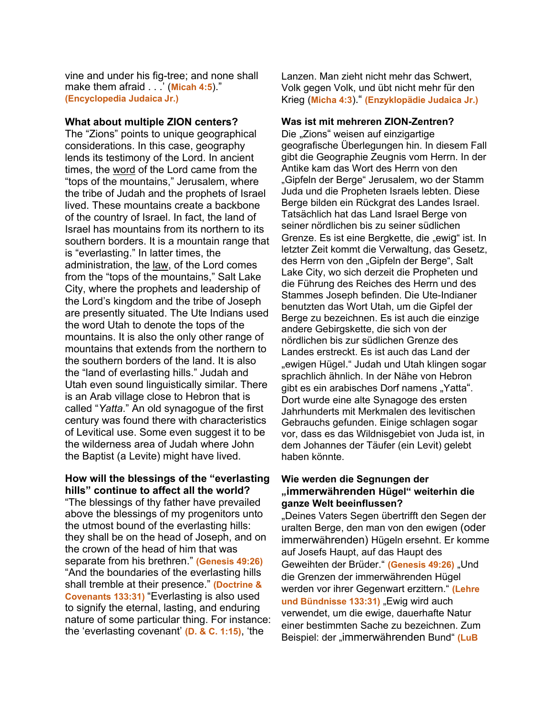vine and under his fig-tree; and none shall make them afraid . . .' (**Micah 4:5**)." **(Encyclopedia Judaica Jr.)**

#### **What about multiple ZION centers?**

The "Zions" points to unique geographical considerations. In this case, geography lends its testimony of the Lord. In ancient times, the word of the Lord came from the "tops of the mountains," Jerusalem, where the tribe of Judah and the prophets of Israel lived. These mountains create a backbone of the country of Israel. In fact, the land of Israel has mountains from its northern to its southern borders. It is a mountain range that is "everlasting." In latter times, the administration, the law, of the Lord comes from the "tops of the mountains," Salt Lake City, where the prophets and leadership of the Lord's kingdom and the tribe of Joseph are presently situated. The Ute Indians used the word Utah to denote the tops of the mountains. It is also the only other range of mountains that extends from the northern to the southern borders of the land. It is also the "land of everlasting hills." Judah and Utah even sound linguistically similar. There is an Arab village close to Hebron that is called "*Yatta*." An old synagogue of the first century was found there with characteristics of Levitical use. Some even suggest it to be the wilderness area of Judah where John the Baptist (a Levite) might have lived.

#### **How will the blessings of the "everlasting hills" continue to affect all the world?**

"The blessings of thy father have prevailed above the blessings of my progenitors unto the utmost bound of the everlasting hills: they shall be on the head of Joseph, and on the crown of the head of him that was separate from his brethren." **(Genesis 49:26)** "And the boundaries of the everlasting hills shall tremble at their presence." **(Doctrine & Covenants 133:31)** "Everlasting is also used to signify the eternal, lasting, and enduring nature of some particular thing. For instance: the 'everlasting covenant' **(D. & C. 1:15)**, 'the

Lanzen. Man zieht nicht mehr das Schwert, Volk gegen Volk, und übt nicht mehr für den Krieg (**Micha 4:3**)." **(Enzyklopädie Judaica Jr.)**

#### **Was ist mit mehreren ZION-Zentren?**

Die "Zions" weisen auf einzigartige geografische Überlegungen hin. In diesem Fall gibt die Geographie Zeugnis vom Herrn. In der Antike kam das Wort des Herrn von den "Gipfeln der Berge" Jerusalem, wo der Stamm Juda und die Propheten Israels lebten. Diese Berge bilden ein Rückgrat des Landes Israel. Tatsächlich hat das Land Israel Berge von seiner nördlichen bis zu seiner südlichen Grenze. Es ist eine Bergkette, die "ewig" ist. In letzter Zeit kommt die Verwaltung, das Gesetz, des Herrn von den "Gipfeln der Berge", Salt Lake City, wo sich derzeit die Propheten und die Führung des Reiches des Herrn und des Stammes Joseph befinden. Die Ute-Indianer benutzten das Wort Utah, um die Gipfel der Berge zu bezeichnen. Es ist auch die einzige andere Gebirgskette, die sich von der nördlichen bis zur südlichen Grenze des Landes erstreckt. Es ist auch das Land der ewigen Hügel." Judah und Utah klingen sogar sprachlich ähnlich. In der Nähe von Hebron gibt es ein arabisches Dorf namens "Yatta". Dort wurde eine alte Synagoge des ersten Jahrhunderts mit Merkmalen des levitischen Gebrauchs gefunden. Einige schlagen sogar vor, dass es das Wildnisgebiet von Juda ist, in dem Johannes der Täufer (ein Levit) gelebt haben könnte.

#### **Wie werden die Segnungen der "immerwährenden Hügel" weiterhin die ganze Welt beeinflussen?**

"Deines Vaters Segen übertrifft den Segen der uralten Berge, den man von den ewigen (oder immerwährenden) Hügeln ersehnt. Er komme auf Josefs Haupt, auf das Haupt des Geweihten der Brüder." (Genesis 49:26) "Und die Grenzen der immerwährenden Hügel werden vor ihrer Gegenwart erzittern." **(Lehre**  und Bündnisse 133:31) "Ewig wird auch verwendet, um die ewige, dauerhafte Natur einer bestimmten Sache zu bezeichnen. Zum Beispiel: der "immerwährenden Bund" **(LuB**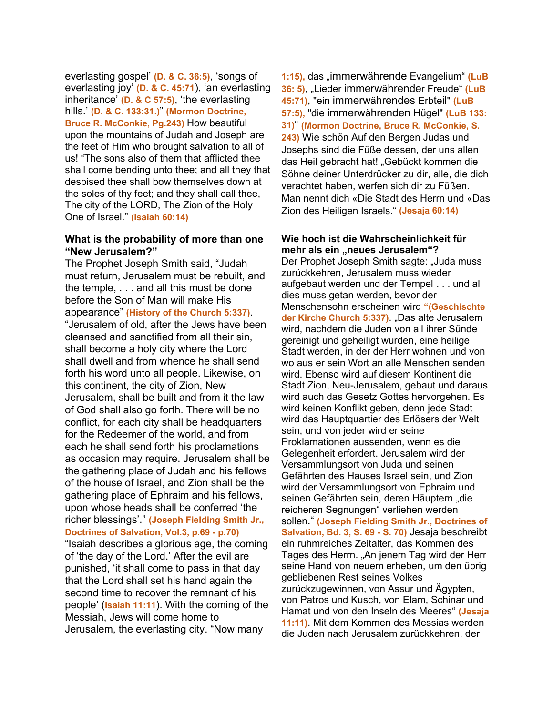everlasting gospel' **(D. & C. 36:5)**, 'songs of everlasting joy' **(D. & C. 45:71**), 'an everlasting inheritance' **(D. & C 57:5)**, 'the everlasting hills.' **(D. & C. 133:31.)**" **(Mormon Doctrine, Bruce R. McConkie, Pg.243)** How beautiful upon the mountains of Judah and Joseph are the feet of Him who brought salvation to all of us! "The sons also of them that afflicted thee shall come bending unto thee; and all they that despised thee shall bow themselves down at the soles of thy feet; and they shall call thee, The city of the LORD, The Zion of the Holy One of Israel." **(Isaiah 60:14)**

#### **What is the probability of more than one "New Jerusalem?"**

The Prophet Joseph Smith said, "Judah must return, Jerusalem must be rebuilt, and the temple, . . . and all this must be done before the Son of Man will make His appearance" **(History of the Church 5:337)**. "Jerusalem of old, after the Jews have been cleansed and sanctified from all their sin, shall become a holy city where the Lord shall dwell and from whence he shall send forth his word unto all people. Likewise, on this continent, the city of Zion, New Jerusalem, shall be built and from it the law of God shall also go forth. There will be no conflict, for each city shall be headquarters for the Redeemer of the world, and from each he shall send forth his proclamations as occasion may require. Jerusalem shall be the gathering place of Judah and his fellows of the house of Israel, and Zion shall be the gathering place of Ephraim and his fellows, upon whose heads shall be conferred 'the richer blessings'." **(Joseph Fielding Smith Jr., Doctrines of Salvation, Vol.3, p.69 - p.70)** "Isaiah describes a glorious age, the coming of 'the day of the Lord.' After the evil are punished, 'it shall come to pass in that day that the Lord shall set his hand again the second time to recover the remnant of his people' (**Isaiah 11:11**). With the coming of the Messiah, Jews will come home to Jerusalem, the everlasting city. "Now many

1:15), das "immerwährende Evangelium" (LuB **36: 5)**, "Lieder immerwährender Freude" **(LuB 45:71)**, "ein immerwährendes Erbteil" **(LuB 57:5),** "die immerwährenden Hügel" **(LuB 133: 31)**" **(Mormon Doctrine, Bruce R. McConkie, S. 243)** Wie schön Auf den Bergen Judas und Josephs sind die Füße dessen, der uns allen das Heil gebracht hat! "Gebückt kommen die Söhne deiner Unterdrücker zu dir, alle, die dich verachtet haben, werfen sich dir zu Füßen. Man nennt dich «Die Stadt des Herrn und «Das Zion des Heiligen Israels." **(Jesaja 60:14)**

#### **Wie hoch ist die Wahrscheinlichkeit für**  mehr als ein "neues Jerusalem"?

Der Prophet Joseph Smith sagte: "Juda muss zurückkehren, Jerusalem muss wieder aufgebaut werden und der Tempel . . . und all dies muss getan werden, bevor der Menschensohn erscheinen wird **"(Geschischte der Kirche Church 5:337)**. "Das alte Jerusalem wird, nachdem die Juden von all ihrer Sünde gereinigt und geheiligt wurden, eine heilige Stadt werden, in der der Herr wohnen und von wo aus er sein Wort an alle Menschen senden wird. Ebenso wird auf diesem Kontinent die Stadt Zion, Neu-Jerusalem, gebaut und daraus wird auch das Gesetz Gottes hervorgehen. Es wird keinen Konflikt geben, denn jede Stadt wird das Hauptquartier des Erlösers der Welt sein, und von jeder wird er seine Proklamationen aussenden, wenn es die Gelegenheit erfordert. Jerusalem wird der Versammlungsort von Juda und seinen Gefährten des Hauses Israel sein, und Zion wird der Versammlungsort von Ephraim und seinen Gefährten sein, deren Häuptern "die reicheren Segnungen" verliehen werden sollen." **(Joseph Fielding Smith Jr., Doctrines of Salvation, Bd. 3, S. 69 - S. 70)** Jesaja beschreibt ein ruhmreiches Zeitalter, das Kommen des Tages des Herrn. "An jenem Tag wird der Herr seine Hand von neuem erheben, um den übrig gebliebenen Rest seines Volkes zurückzugewinnen, von Assur und Ägypten, von Patros und Kusch, von Elam, Schinar und Hamat und von den Inseln des Meeres" **(Jesaja 11:11)**. Mit dem Kommen des Messias werden die Juden nach Jerusalem zurückkehren, der